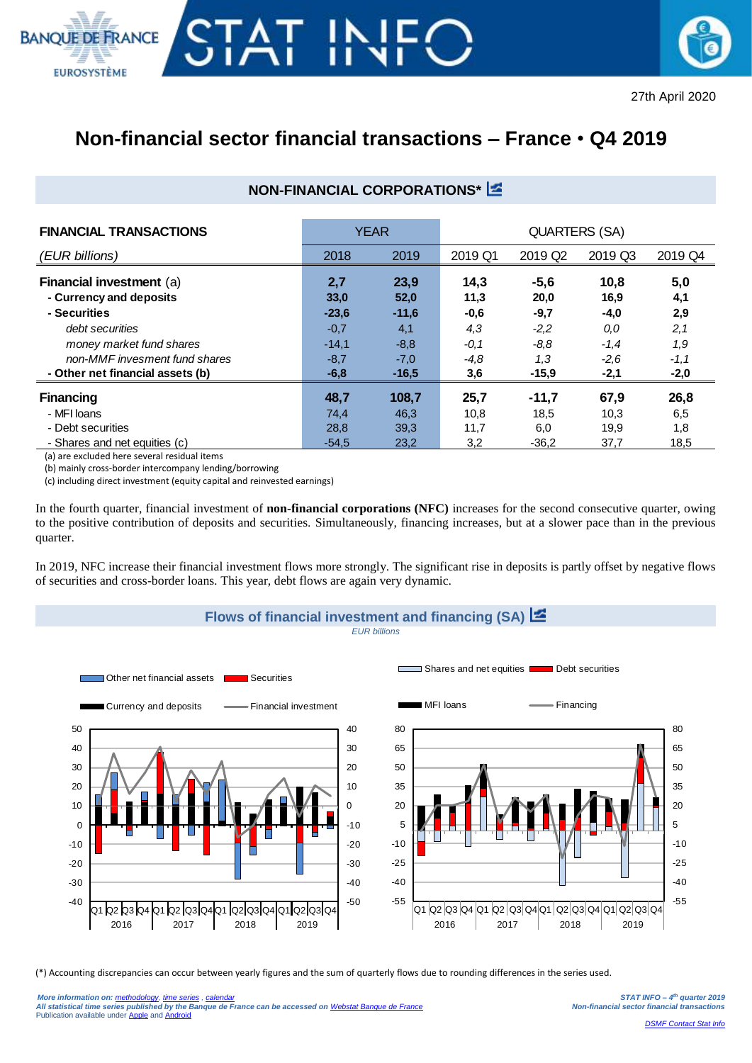



## **Non-financial sector financial transactions – France** • **Q4 2019**

## **NON-FINANCIAL CORPORATIONS\***

| <b>FINANCIAL TRANSACTIONS</b>                              | <b>YEAR</b> |              | <b>QUARTERS (SA)</b> |                     |              |            |  |
|------------------------------------------------------------|-------------|--------------|----------------------|---------------------|--------------|------------|--|
| (EUR billions)                                             | 2018        | 2019         | 2019 Q1              | 2019 Q <sub>2</sub> | 2019 Q3      | 2019 Q4    |  |
| <b>Financial investment (a)</b><br>- Currency and deposits | 2,7<br>33,0 | 23,9<br>52,0 | 14,3<br>11,3         | $-5,6$<br>20,0      | 10,8<br>16,9 | 5,0<br>4,1 |  |
| - Securities                                               | $-23,6$     | $-11,6$      | $-0,6$               | $-9,7$              | $-4,0$       | 2,9        |  |
| debt securities                                            | $-0,7$      | 4,1          | 4,3                  | $-2.2$              | 0,0          | 2,1        |  |
| money market fund shares                                   | $-14,1$     | $-8,8$       | $-0.1$               | $-8.8$              | $-1,4$       | 1,9        |  |
| non-MMF invesment fund shares                              | $-8,7$      | $-7,0$       | $-4.8$               | 1,3                 | $-2,6$       | $-1,1$     |  |
| - Other net financial assets (b)                           | $-6,8$      | $-16,5$      | 3,6                  | $-15,9$             | -2,1         | $-2,0$     |  |
| <b>Financing</b>                                           | 48,7        | 108,7        | 25,7                 | $-11,7$             | 67,9         | 26,8       |  |
| - MFI Ioans                                                | 74,4        | 46,3         | 10,8                 | 18,5                | 10,3         | 6,5        |  |
| - Debt securities                                          | 28,8        | 39,3         | 11,7                 | 6,0                 | 19,9         | 1,8        |  |
| - Shares and net equities (c)                              | $-54.5$     | 23,2         | 3,2                  | $-36.2$             | 37,7         | 18,5       |  |

(a) are excluded here several residual items

(b) mainly cross-border intercompany lending/borrowing

(c) including direct investment (equity capital and reinvested earnings)

In the fourth quarter, financial investment of **non-financial corporations (NFC)** increases for the second consecutive quarter, owing to the positive contribution of deposits and securities. Simultaneously, financing increases, but at a slower pace than in the previous quarter.

In 2019, NFC increase their financial investment flows more strongly. The significant rise in deposits is partly offset by negative flows of securities and cross-border loans. This year, debt flows are again very dynamic.



(\*) Accounting discrepancies can occur between yearly figures and the sum of quarterly flows due to rounding differences in the series used.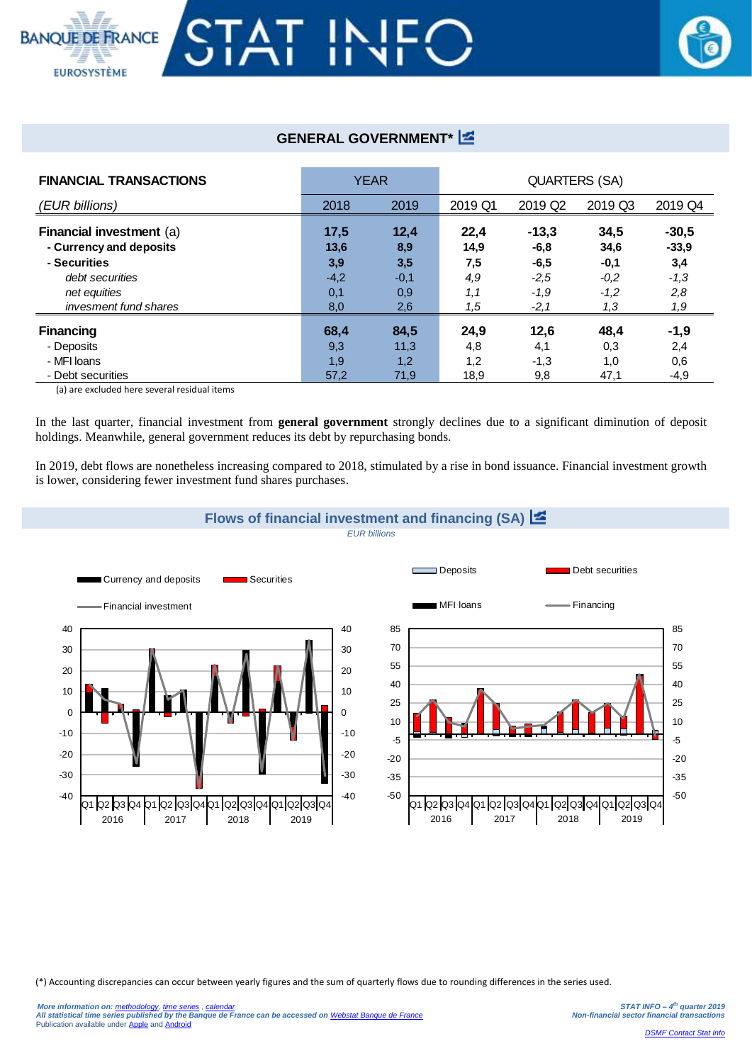

## **GENERAL GOVERNMENT\***

| <b>FINANCIAL TRANSACTIONS</b>                                                                                                   | <b>YEAR</b>                          |                                     | <b>QUARTERS (SA)</b>              |                                                 |                                            |                                            |  |
|---------------------------------------------------------------------------------------------------------------------------------|--------------------------------------|-------------------------------------|-----------------------------------|-------------------------------------------------|--------------------------------------------|--------------------------------------------|--|
| (EUR billions)                                                                                                                  | 2018                                 | 2019                                | 2019 Q1                           | 2019 Q <sub>2</sub>                             | 2019 Q3                                    | 2019 Q4                                    |  |
| Financial investment (a)<br>- Currency and deposits<br>- Securities<br>debt securities<br>net equities<br>invesment fund shares | 17,5<br>13,6<br>3,9<br>$-4,2$<br>0,1 | 12,4<br>8,9<br>3,5<br>$-0,1$<br>0,9 | 22,4<br>14,9<br>7,5<br>4,9<br>1,1 | $-13,3$<br>$-6,8$<br>$-6,5$<br>$-2,5$<br>$-1,9$ | 34,5<br>34,6<br>$-0,1$<br>$-0.2$<br>$-1,2$ | $-30,5$<br>$-33.9$<br>3,4<br>$-1,3$<br>2,8 |  |
| <b>Financing</b>                                                                                                                | 8,0<br>68,4                          | 2,6<br>84,5                         | 1,5<br>24,9                       | $-2,1$<br>12,6                                  | 1,3<br>48,4                                | 1,9<br>$-1,9$                              |  |
| - Deposits<br>- MFI Ioans<br>- Debt securities                                                                                  | 9,3<br>1,9<br>57,2                   | 11,3<br>1,2<br>71,9                 | 4,8<br>1,2<br>18,9                | 4,1<br>$-1,3$<br>9,8                            | 0,3<br>1,0<br>47,1                         | 2,4<br>0,6<br>$-4,9$                       |  |

(a) are excluded here several residual items

In the last quarter, financial investment from **general government** strongly declines due to a significant diminution of deposit holdings. Meanwhile, general government reduces its debt by repurchasing bonds.

In 2019, debt flows are nonetheless increasing compared to 2018, stimulated by a rise in bond issuance. Financial investment growth is lower, considering fewer investment fund shares purchases.



(\*) Accounting discrepancies can occur between yearly figures and the sum of quarterly flows due to rounding differences in the series used.